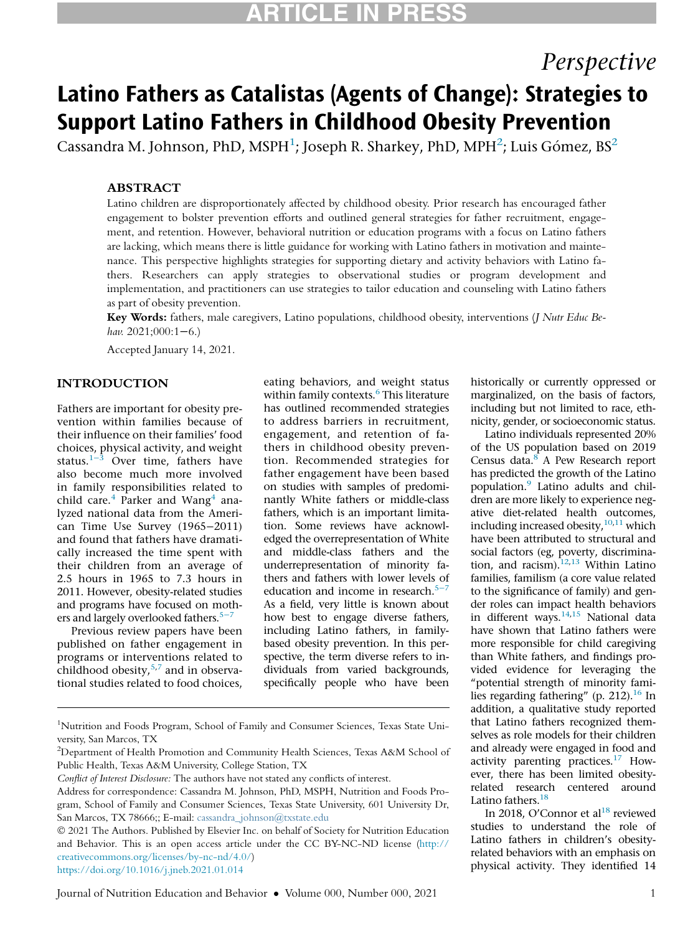# ARTICLE IN PRESS

## Perspective

## Latino Fathers as Catalistas (Agents of Change): Strategies to Support Latino Fathers in Childhood Obesity Prevention

<span id="page-0-0"></span>Cassandra M. Johnson, PhD, MSPH $^1$ ; Joseph R. Sharkey, PhD, MPH $^2$  $^2$ ; Luis Gómez, BS $^2$ 

## **ABSTRACT**

Latino children are disproportionately affected by childhood obesity. Prior research has encouraged father engagement to bolster prevention efforts and outlined general strategies for father recruitment, engagement, and retention. However, behavioral nutrition or education programs with a focus on Latino fathers are lacking, which means there is little guidance for working with Latino fathers in motivation and maintenance. This perspective highlights strategies for supporting dietary and activity behaviors with Latino fathers. Researchers can apply strategies to observational studies or program development and implementation, and practitioners can use strategies to tailor education and counseling with Latino fathers as part of obesity prevention.

Key Words: fathers, male caregivers, Latino populations, childhood obesity, interventions (J Nutr Educ Behav. 2021;000:1−6.)

Accepted January 14, 2021.

## INTRODUCTION

Fathers are important for obesity prevention within families because of their influence on their families' food choices, physical activity, and weight status. $1-3$  Over time, fathers have also become much more involved in family responsibilities related to child care. $4$  Parker and Wang $4$  analyzed national data from the American Time Use Survey (1965−2011) and found that fathers have dramatically increased the time spent with their children from an average of 2.5 hours in 1965 to 7.3 hours in 2011. However, obesity-related studies and programs have focused on moth-ers and largely overlooked fathers.<sup>5[−](#page-4-2)7</sup>

Previous review papers have been published on father engagement in programs or interventions related to childhood obesity,[5](#page-4-2)[,7](#page-4-3) and in observational studies related to food choices, eating behaviors, and weight status within family contexts.<sup>[6](#page-4-4)</sup> This literature has outlined recommended strategies to address barriers in recruitment, engagement, and retention of fathers in childhood obesity prevention. Recommended strategies for father engagement have been based on studies with samples of predominantly White fathers or middle-class fathers, which is an important limitation. Some reviews have acknowledged the overrepresentation of White and middle-class fathers and the underrepresentation of minority fathers and fathers with lower levels of education and income in research.<sup>5[−](#page-4-2)7</sup> As a field, very little is known about how best to engage diverse fathers, including Latino fathers, in familybased obesity prevention. In this perspective, the term diverse refers to individuals from varied backgrounds, specifically people who have been historically or currently oppressed or marginalized, on the basis of factors, including but not limited to race, ethnicity, gender, or socioeconomic status.

Latino individuals represented 20% of the US population based on 2019 Census data[.8](#page-5-0) A Pew Research report has predicted the growth of the Latino population.[9](#page-5-1) Latino adults and children are more likely to experience negative diet-related health outcomes, including increased obesity,<sup>10[,11](#page-5-3)</sup> which have been attributed to structural and social factors (eg, poverty, discrimination, and racism). $12,13$  $12,13$  Within Latino families, familism (a core value related to the significance of family) and gender roles can impact health behaviors in different ways. $14,15$  $14,15$  National data have shown that Latino fathers were more responsible for child caregiving than White fathers, and findings provided evidence for leveraging the "potential strength of minority fami-lies regarding fathering" (p. 212).<sup>[16](#page-5-8)</sup> In addition, a qualitative study reported that Latino fathers recognized themselves as role models for their children and already were engaged in food and activity parenting practices[.17](#page-5-9) However, there has been limited obesityrelated research centered around Latino fathers.<sup>18</sup>

In 2018, O'Connor et al $^{18}$  reviewed studies to understand the role of Latino fathers in children's obesityrelated behaviors with an emphasis on physical activity. They identified 14

<https://doi.org/10.1016/j.jneb.2021.01.014>

<sup>&</sup>lt;sup>1</sup>Nutrition and Foods Program, School of Family and Consumer Sciences, Texas State University, San Marcos, TX

<sup>&</sup>lt;sup>2</sup>Department of Health Promotion and Community Health Sciences, Texas A&M School of Public Health, Texas A&M University, College Station, TX

Conflict of Interest Disclosure: The authors have not stated any conflicts of interest.

Address for correspondence: Cassandra M. Johnson, PhD, MSPH, Nutrition and Foods Program, School of Family and Consumer Sciences, Texas State University, 601 University Dr, San Marcos, TX 78666;; E-mail: [cassandra\\_johnson@txstate.edu](mailto:cassandra_johnson@txstate.edu)

2021 The Authors. Published by Elsevier Inc. on behalf of Society for Nutrition Education and Behavior. This is an open access article under the CC BY-NC-ND license ([http://](http://creativecommons.org/licenses/by-nc-nd/4.0/) [creativecommons.org/licenses/by-nc-nd/4.0/\)](http://creativecommons.org/licenses/by-nc-nd/4.0/)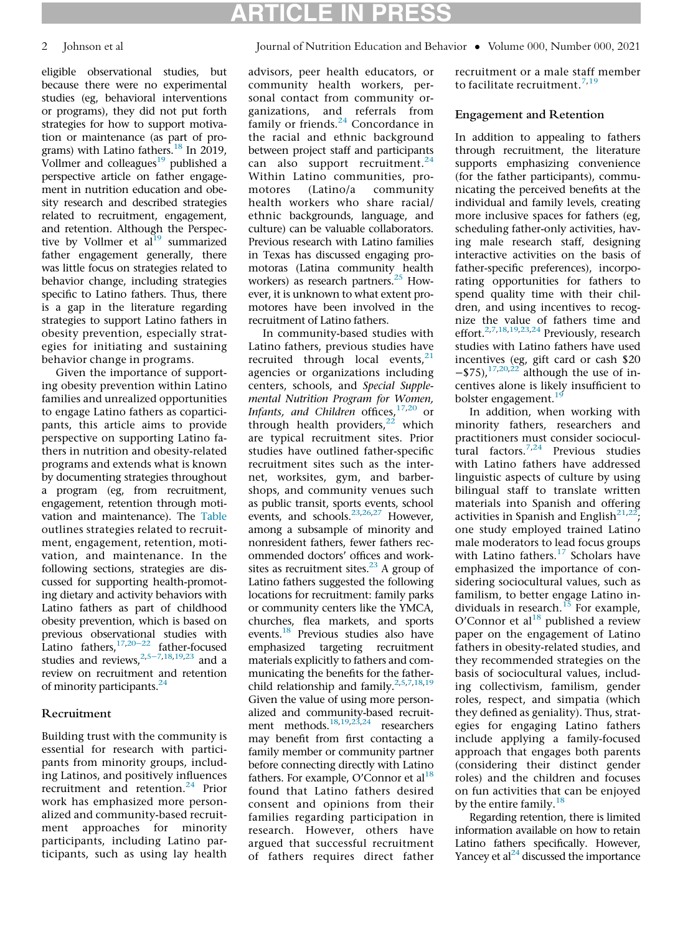# ARTICLE IN PRESS

## 2 Johnson et al Journal of Nutrition Education and Behavior • Volume 000, Number 000, 2021

eligible observational studies, but because there were no experimental studies (eg, behavioral interventions or programs), they did not put forth strategies for how to support motivation or maintenance (as part of pro-grams) with Latino fathers.<sup>[18](#page-5-10)</sup> In 2019, Vollmer and colleagues $19$  published a perspective article on father engagement in nutrition education and obesity research and described strategies related to recruitment, engagement, and retention. Although the Perspective by Vollmer et  $al^{19}$  summarized father engagement generally, there was little focus on strategies related to behavior change, including strategies specific to Latino fathers. Thus, there is a gap in the literature regarding strategies to support Latino fathers in obesity prevention, especially strategies for initiating and sustaining behavior change in programs.

Given the importance of supporting obesity prevention within Latino families and unrealized opportunities to engage Latino fathers as coparticipants, this article aims to provide perspective on supporting Latino fathers in nutrition and obesity-related programs and extends what is known by documenting strategies throughout a program (eg, from recruitment, engagement, retention through motivation and maintenance). The [Table](#page-2-0) outlines strategies related to recruitment, engagement, retention, motivation, and maintenance. In the following sections, strategies are discussed for supporting health-promoting dietary and activity behaviors with Latino fathers as part of childhood obesity prevention, which is based on previous observational studies with Latino fathers[,17,](#page-5-9)[20](#page-5-12)<sup>−</sup><sup>22</sup> father-focused studies and reviews.<sup>[2](#page-4-5),5[−](#page-4-2)7[,18](#page-5-10)[,19](#page-5-11)[,23](#page-5-13)</sup> and a review on recruitment and retention of minority participants.<sup>[24](#page-5-4)</sup>

## Recruitment

Building trust with the community is essential for research with participants from minority groups, including Latinos, and positively influences recruitment and retention.<sup>[24](#page-5-4)</sup> Prior work has emphasized more personalized and community-based recruitment approaches for minority participants, including Latino participants, such as using lay health

advisors, peer health educators, or community health workers, personal contact from community organizations, and referrals from family or friends.<sup>[24](#page-5-4)</sup> Concordance in the racial and ethnic background between project staff and participants can also support recruitment. $24$ Within Latino communities, promotores (Latino/a community health workers who share racial/ ethnic backgrounds, language, and culture) can be valuable collaborators. Previous research with Latino families in Texas has discussed engaging promotoras (Latina community health workers) as research partners.<sup>25</sup> However, it is unknown to what extent promotores have been involved in the recruitment of Latino fathers.

In community-based studies with Latino fathers, previous studies have recruited through local events, $21$ agencies or organizations including centers, schools, and Special Supplemental Nutrition Program for Women, Infants, and Children offices,  $17,20$  $17,20$  or through health providers, $22$  which are typical recruitment sites. Prior studies have outlined father-specific recruitment sites such as the internet, worksites, gym, and barbershops, and community venues such as public transit, sports events, school events, and schools.<sup>23,[26,](#page-5-16)[27](#page-5-17)</sup> However, among a subsample of minority and nonresident fathers, fewer fathers recommended doctors' offices and worksites as recruitment sites. $^{23}$  A group of Latino fathers suggested the following locations for recruitment: family parks or community centers like the YMCA, churches, flea markets, and sports events.<sup>18</sup> Previous studies also have emphasized targeting recruitment materials explicitly to fathers and communicating the benefits for the father-child relationship and family.<sup>[2](#page-4-5)[,5,](#page-4-2)[7](#page-4-3)[,18](#page-5-10)[,19](#page-5-11)</sup> Given the value of using more personalized and community-based recruit-ment methods.<sup>18[,19](#page-5-11)[,23,](#page-5-13)[24](#page-5-4)</sup> researchers may benefit from first contacting a family member or community partner before connecting directly with Latino fathers. For example, O'Connor et al<sup>18</sup> found that Latino fathers desired consent and opinions from their families regarding participation in research. However, others have argued that successful recruitment of fathers requires direct father

recruitment or a male staff member to facilitate recruitment.<sup>[7](#page-4-3),[19](#page-5-11)</sup>

### Engagement and Retention

In addition to appealing to fathers through recruitment, the literature supports emphasizing convenience (for the father participants), communicating the perceived benefits at the individual and family levels, creating more inclusive spaces for fathers (eg, scheduling father-only activities, having male research staff, designing interactive activities on the basis of father-specific preferences), incorporating opportunities for fathers to spend quality time with their children, and using incentives to recognize the value of fathers time and effort.<sup>2,[7](#page-4-3)[,18](#page-5-10),[19](#page-5-11)[,23,](#page-5-13)[24](#page-5-4)</sup> Previously, research studies with Latino fathers have used incentives (eg, gift card or cash \$20  $-$ \$75),<sup>[17](#page-5-9)[,20,](#page-5-12)[22](#page-5-15)</sup> although the use of incentives alone is likely insufficient to bolster engagement.<sup>[19](#page-5-11)</sup>

In addition, when working with minority fathers, researchers and practitioners must consider sociocul-tural factors.<sup>[7,](#page-4-3)[24](#page-5-4)</sup> Previous studies with Latino fathers have addressed linguistic aspects of culture by using bilingual staff to translate written materials into Spanish and offering activities in Spanish and English $^{21,22}$  $^{21,22}$  $^{21,22}$  $^{21,22}$ ; one study employed trained Latino male moderators to lead focus groups with Latino fathers. $17$  Scholars have emphasized the importance of considering sociocultural values, such as familism, to better engage Latino individuals in research. $^{15}$  $^{15}$  $^{15}$  For example, O'Connor et al $^{18}$  $^{18}$  $^{18}$  published a review paper on the engagement of Latino fathers in obesity-related studies, and they recommended strategies on the basis of sociocultural values, including collectivism, familism, gender roles, respect, and simpatia (which they defined as geniality). Thus, strategies for engaging Latino fathers include applying a family-focused approach that engages both parents (considering their distinct gender roles) and the children and focuses on fun activities that can be enjoyed by the entire family.  $18$ 

Regarding retention, there is limited information available on how to retain Latino fathers specifically. However, Yancey et al<sup>24</sup> discussed the importance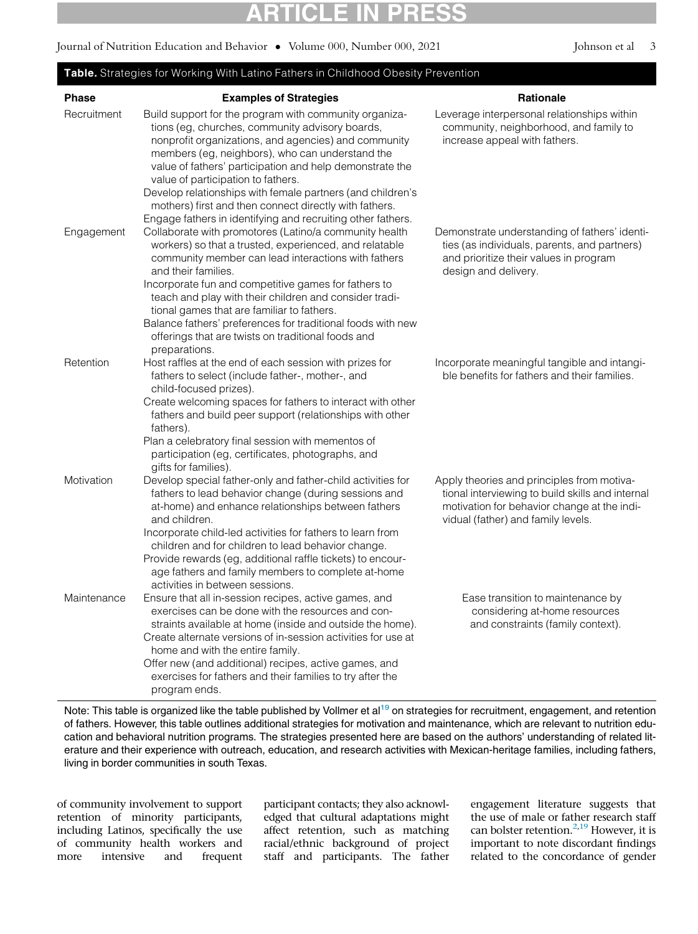$\frac{1}{2}$   $\frac{1}{2}$   $\frac{1}{2}$   $\frac{200}{2}$   $\frac{201}{2}$ Journal of Nutrition Education and Behavior • Volume 000, Number 000, 2021 Johnson et al 3

### <span id="page-2-0"></span>Table. Strategies for Working With Latino Fathers in Childhood Obesity Prevention **Phase** Phase Examples of Strategies<br>Recruitment Build support for the program with community organiza- Leverage interpersonal rela Leverage interpersonal relationships within tions (eg, churches, community advisory boards, community, neighborhood, and family to nonprofit organizations, and agencies) and community increase appeal with fathers. members (eg, neighbors), who can understand the value of fathers' participation and help demonstrate the value of participation to fathers. Develop relationships with female partners (and children's mothers) first and then connect directly with fathers. Engage fathers in identifying and recruiting other fathers. Engagement Collaborate with promotores (Latino/a community health Demonstrate understanding of fathers' identiworkers) so that a trusted, experienced, and relatable ties (as individuals, parents, and partners) community member can lead interactions with fathers and prioritize their values in program and their families. design and delivery. Incorporate fun and competitive games for fathers to teach and play with their children and consider traditional games that are familiar to fathers. Balance fathers' preferences for traditional foods with new offerings that are twists on traditional foods and preparations. Retention Host raffles at the end of each session with prizes for Incorporate meaningful tangible and intangifathers to select (include father-, mother-, and ble benefits for fathers and their families. child-focused prizes). Create welcoming spaces for fathers to interact with other fathers and build peer support (relationships with other fathers). Plan a celebratory final session with mementos of participation (eg, certificates, photographs, and gifts for families). Motivation Develop special father-only and father-child activities for Apply theories and principles from motivafathers to lead behavior change (during sessions and tional interviewing to build skills and internal at-home) and enhance relationships between fathers motivation for behavior change at the indiand children. vidual (father) and family levels. Incorporate child-led activities for fathers to learn from children and for children to lead behavior change. Provide rewards (eg, additional raffle tickets) to encourage fathers and family members to complete at-home activities in between sessions. Maintenance Ensure that all in-session recipes, active games, and Ease transition to maintenance by exercises can be done with the resources and conconsidering at-home resources straints available at home (inside and outside the home). and constraints (family context). Create alternate versions of in-session activities for use at home and with the entire family. Offer new (and additional) recipes, active games, and exercises for fathers and their families to try after the program ends.

Note: This table is organized like the table published by Vollmer et al<sup>[19](#page-5-11)</sup> on strategies for recruitment, engagement, and retention of fathers. However, this table outlines additional strategies for motivation and maintenance, which are relevant to nutrition education and behavioral nutrition programs. The strategies presented here are based on the authors' understanding of related literature and their experience with outreach, education, and research activities with Mexican-heritage families, including fathers, living in border communities in south Texas.

of community involvement to support retention of minority participants, including Latinos, specifically the use of community health workers and more intensive and frequent participant contacts; they also acknowledged that cultural adaptations might affect retention, such as matching racial/ethnic background of project staff and participants. The father engagement literature suggests that the use of male or father research staff can bolster retention.<sup>2,[19](#page-5-11)</sup> However, it is important to note discordant findings related to the concordance of gender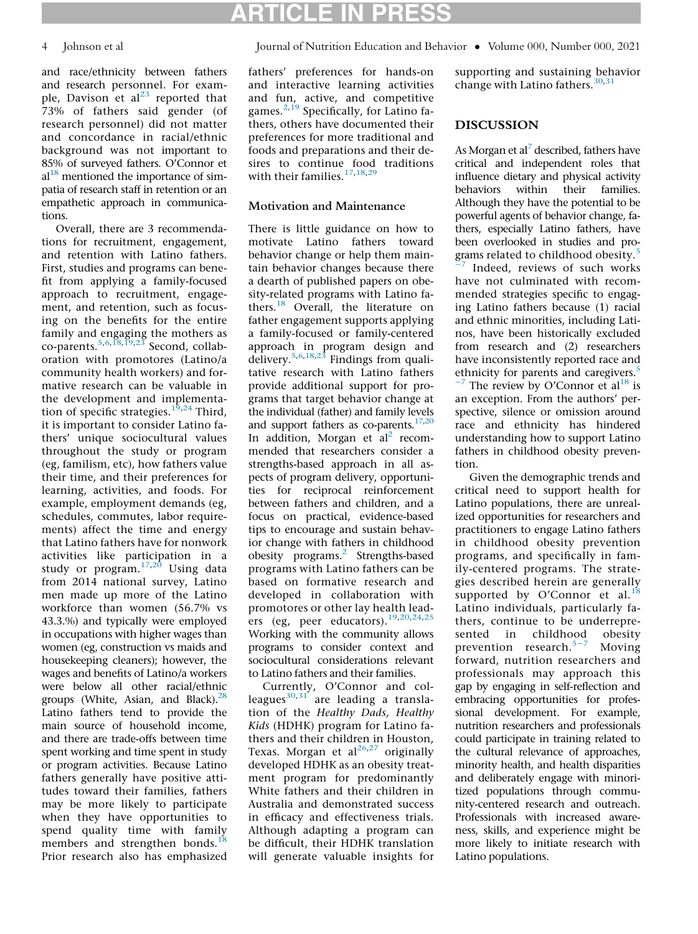and race/ethnicity between fathers and research personnel. For example, Davison et  $al^{23}$  $al^{23}$  $al^{23}$  reported that 73% of fathers said gender (of research personnel) did not matter and concordance in racial/ethnic background was not important to 85% of surveyed fathers. O'Connor et  $al<sup>18</sup>$  $al<sup>18</sup>$  $al<sup>18</sup>$  mentioned the importance of simpatia of research staff in retention or an empathetic approach in communications.

Overall, there are 3 recommendations for recruitment, engagement, and retention with Latino fathers. First, studies and programs can benefit from applying a family-focused approach to recruitment, engagement, and retention, such as focusing on the benefits for the entire family and engaging the mothers as co-parents. $5,6,18,19,23$  $5,6,18,19,23$  $5,6,18,19,23$  $5,6,18,19,23$  $5,6,18,19,23$  Second, collaboration with promotores (Latino/a community health workers) and formative research can be valuable in the development and implementa-tion of specific strategies.<sup>[19](#page-5-11)[,24](#page-5-4)</sup> Third, it is important to consider Latino fathers' unique sociocultural values throughout the study or program (eg, familism, etc), how fathers value their time, and their preferences for learning, activities, and foods. For example, employment demands (eg, schedules, commutes, labor requirements) affect the time and energy that Latino fathers have for nonwork activities like participation in a study or program.[17,](#page-5-9)[20](#page-5-12) Using data from 2014 national survey, Latino men made up more of the Latino workforce than women (56.7% vs 43.3.%) and typically were employed in occupations with higher wages than women (eg, construction vs maids and housekeeping cleaners); however, the wages and benefits of Latino/a workers were below all other racial/ethnic groups (White, Asian, and Black). $28$ Latino fathers tend to provide the main source of household income, and there are trade-offs between time spent working and time spent in study or program activities. Because Latino fathers generally have positive attitudes toward their families, fathers may be more likely to participate when they have opportunities to spend quality time with family members and strengthen bonds.<sup>[18](#page-5-10)</sup> Prior research also has emphasized

ARTICLE IN PRESS 4 Johnson et al Journal of Nutrition Education and Behavior • Volume 000, Number 000, 2021

> fathers' preferences for hands-on and interactive learning activities and fun, active, and competitive games.[2](#page-4-5)[,19](#page-5-11) Specifically, for Latino fathers, others have documented their preferences for more traditional and foods and preparations and their desires to continue food traditions with their families.<sup>[17](#page-5-9)[,18](#page-5-10)[,29](#page-5-18)</sup>

## Motivation and Maintenance

There is little guidance on how to motivate Latino fathers toward behavior change or help them maintain behavior changes because there a dearth of published papers on obesity-related programs with Latino fa-thers.<sup>[18](#page-5-10)</sup> Overall, the literature on father engagement supports applying a family-focused or family-centered approach in program design and delivery.[5](#page-4-2),[6,](#page-4-4)[18,](#page-5-10)[23](#page-5-13) Findings from qualitative research with Latino fathers provide additional support for programs that target behavior change at the individual (father) and family levels and support fathers as co-parents. $17,20$  $17,20$ In addition, Morgan et  $al<sup>2</sup>$  recommended that researchers consider a strengths-based approach in all aspects of program delivery, opportunities for reciprocal reinforcement between fathers and children, and a focus on practical, evidence-based tips to encourage and sustain behavior change with fathers in childhood obesity programs.<sup>[2](#page-4-5)</sup> Strengths-based programs with Latino fathers can be based on formative research and developed in collaboration with promotores or other lay health lead-ers (eg, peer educators).<sup>[19](#page-5-11)[,20](#page-5-12),[24,](#page-5-4)[25](#page-5-5)</sup> Working with the community allows programs to consider context and sociocultural considerations relevant to Latino fathers and their families.

Currently, O'Connor and colleagues $^{30,31}$  $^{30,31}$  $^{30,31}$  $^{30,31}$  are leading a translation of the Healthy Dads, Healthy Kids (HDHK) program for Latino fathers and their children in Houston, Texas. Morgan et al $^{26,27}$  $^{26,27}$  $^{26,27}$  $^{26,27}$  originally developed HDHK as an obesity treatment program for predominantly White fathers and their children in Australia and demonstrated success in efficacy and effectiveness trials. Although adapting a program can be difficult, their HDHK translation will generate valuable insights for

supporting and sustaining behavior change with Latino fathers.  $30,31$  $30,31$  $30,31$ 

## DISCUSSION

As Morgan et al<sup>7</sup> described, fathers have critical and independent roles that influence dietary and physical activity behaviors within their families. Although they have the potential to be powerful agents of behavior change, fathers, especially Latino fathers, have been overlooked in studies and pro-grams related to childhood obesity.<sup>[5](#page-4-2)</sup>

Indeed, reviews of such works have not culminated with recommended strategies specific to engaging Latino fathers because (1) racial and ethnic minorities, including Latinos, have been historically excluded from research and (2) researchers have inconsistently reported race and ethnicity for parents and caregivers.<sup>5</sup>

 $^{-7}$  The review by O'Connor et al<sup>[18](#page-5-10)</sup> is an exception. From the authors' perspective, silence or omission around race and ethnicity has hindered understanding how to support Latino fathers in childhood obesity prevention.

Given the demographic trends and critical need to support health for Latino populations, there are unrealized opportunities for researchers and practitioners to engage Latino fathers in childhood obesity prevention programs, and specifically in family-centered programs. The strategies described herein are generally supported by O'Connor et al. $18$ Latino individuals, particularly fathers, continue to be underrepresented in childhood obesity prevention research.5[−](#page-4-2)<sup>7</sup> Moving forward, nutrition researchers and professionals may approach this gap by engaging in self-reflection and embracing opportunities for professional development. For example, nutrition researchers and professionals could participate in training related to the cultural relevance of approaches, minority health, and health disparities and deliberately engage with minoritized populations through community-centered research and outreach. Professionals with increased awareness, skills, and experience might be more likely to initiate research with Latino populations.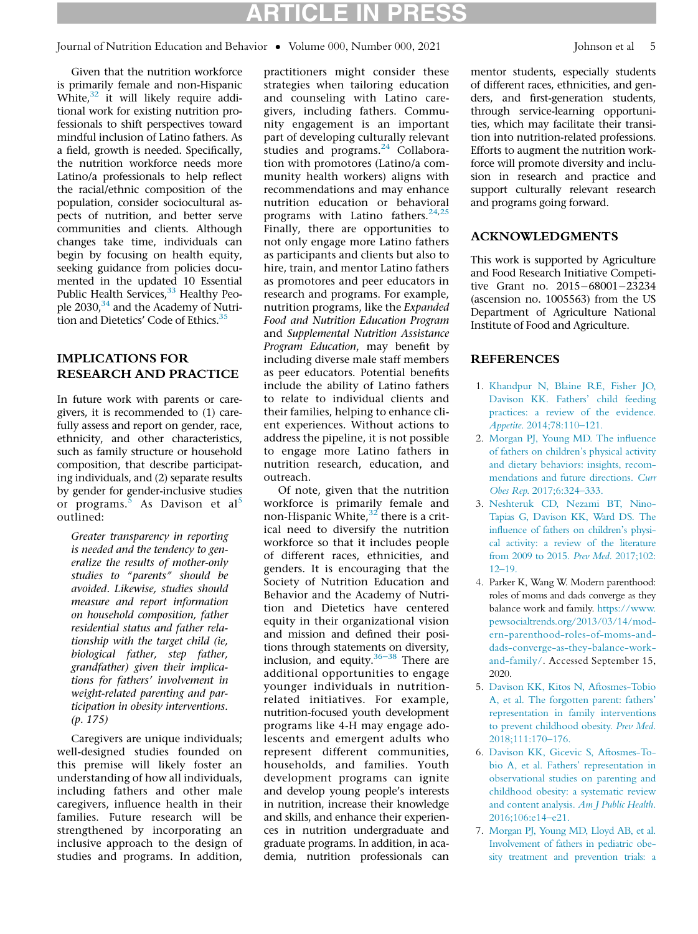$\frac{1}{2}$   $\frac{1}{2}$   $\frac{1}{2}$   $\frac{200}{2}$   $\frac{201}{2}$ Journal of Nutrition Education and Behavior • Volume 000, Number 000, 2021 Johnson et al 5

Given that the nutrition workforce is primarily female and non-Hispanic White, $32$  it will likely require additional work for existing nutrition professionals to shift perspectives toward mindful inclusion of Latino fathers. As a field, growth is needed. Specifically, the nutrition workforce needs more Latino/a professionals to help reflect the racial/ethnic composition of the population, consider sociocultural aspects of nutrition, and better serve communities and clients. Although changes take time, individuals can begin by focusing on health equity, seeking guidance from policies documented in the updated 10 Essential Public Health Services,<sup>33</sup> Healthy Peo-ple 2030,<sup>[34](#page-5-22)</sup> and the Academy of Nutri-tion and Dietetics' Code of Ethics.<sup>[35](#page-5-23)</sup>

## IMPLICATIONS FOR RESEARCH AND PRACTICE

<span id="page-4-5"></span><span id="page-4-0"></span>In future work with parents or caregivers, it is recommended to (1) carefully assess and report on gender, race, ethnicity, and other characteristics, such as family structure or household composition, that describe participating individuals, and (2) separate results by gender for gender-inclusive studies or programs.<sup>[5](#page-4-2)</sup> As Davison et al<sup>5</sup> outlined:

<span id="page-4-1"></span>Greater transparency in reporting is needed and the tendency to generalize the results of mother-only studies to "parents" should be avoided. Likewise, studies should measure and report information on household composition, father residential status and father relationship with the target child (ie, biological father, step father, grandfather) given their implications for fathers' involvement in weight-related parenting and participation in obesity interventions. (p. 175)

<span id="page-4-4"></span><span id="page-4-3"></span><span id="page-4-2"></span>Caregivers are unique individuals; well-designed studies founded on this premise will likely foster an understanding of how all individuals, including fathers and other male caregivers, influence health in their families. Future research will be strengthened by incorporating an inclusive approach to the design of studies and programs. In addition,

practitioners might consider these strategies when tailoring education and counseling with Latino caregivers, including fathers. Community engagement is an important part of developing culturally relevant studies and programs.<sup>[24](#page-5-4)</sup> Collaboration with promotores (Latino/a community health workers) aligns with recommendations and may enhance nutrition education or behavioral programs with Latino fathers.  $24,25$  $24,25$ Finally, there are opportunities to not only engage more Latino fathers as participants and clients but also to hire, train, and mentor Latino fathers as promotores and peer educators in research and programs. For example, nutrition programs, like the Expanded Food and Nutrition Education Program and Supplemental Nutrition Assistance Program Education, may benefit by including diverse male staff members as peer educators. Potential benefits include the ability of Latino fathers to relate to individual clients and their families, helping to enhance client experiences. Without actions to address the pipeline, it is not possible to engage more Latino fathers in nutrition research, education, and outreach.

Of note, given that the nutrition workforce is primarily female and non-Hispanic White, $32$  there is a critical need to diversify the nutrition workforce so that it includes people of different races, ethnicities, and genders. It is encouraging that the Society of Nutrition Education and Behavior and the Academy of Nutrition and Dietetics have centered equity in their organizational vision and mission and defined their positions through statements on diversity, inclusion, and equity. $36-38$  There are additional opportunities to engage younger individuals in nutritionrelated initiatives. For example, nutrition-focused youth development programs like 4-H may engage adolescents and emergent adults who represent different communities, households, and families. Youth development programs can ignite and develop young people's interests in nutrition, increase their knowledge and skills, and enhance their experiences in nutrition undergraduate and graduate programs. In addition, in academia, nutrition professionals can

mentor students, especially students of different races, ethnicities, and genders, and first-generation students, through service-learning opportunities, which may facilitate their transition into nutrition-related professions. Efforts to augment the nutrition workforce will promote diversity and inclusion in research and practice and support culturally relevant research and programs going forward.

## ACKNOWLEDGMENTS

This work is supported by Agriculture and Food Research Initiative Competitive Grant no. 2015-68001-23234 (ascension no. 1005563) from the US Department of Agriculture National Institute of Food and Agriculture.

## **REFERENCES**

- 1. [Khandpur N, Blaine RE, Fisher JO,](http://refhub.elsevier.com/S1499-4046(21)00021-X/sbref0001) [Davison KK. Fathers' child feeding](http://refhub.elsevier.com/S1499-4046(21)00021-X/sbref0001) [practices: a review of the evidence.](http://refhub.elsevier.com/S1499-4046(21)00021-X/sbref0001) Appetite[. 2014;78:110–121.](http://refhub.elsevier.com/S1499-4046(21)00021-X/sbref0001)
- 2. [Morgan PJ, Young MD. The influence](http://refhub.elsevier.com/S1499-4046(21)00021-X/sbref0002) [of fathers on children](http://refhub.elsevier.com/S1499-4046(21)00021-X/sbref0002)'[s physical activity](http://refhub.elsevier.com/S1499-4046(21)00021-X/sbref0002) [and dietary behaviors: insights, recom](http://refhub.elsevier.com/S1499-4046(21)00021-X/sbref0002)[mendations and future directions.](http://refhub.elsevier.com/S1499-4046(21)00021-X/sbref0002) Curr Obes Rep[. 2017;6:324–333.](http://refhub.elsevier.com/S1499-4046(21)00021-X/sbref0002)
- 3. [Neshteruk CD, Nezami BT, Nino-](http://refhub.elsevier.com/S1499-4046(21)00021-X/sbref0003)[Tapias G, Davison KK, Ward DS. The](http://refhub.elsevier.com/S1499-4046(21)00021-X/sbref0003) [influence of fathers on children's physi](http://refhub.elsevier.com/S1499-4046(21)00021-X/sbref0003)[cal activity: a review of the literature](http://refhub.elsevier.com/S1499-4046(21)00021-X/sbref0003) [from 2009 to 2015.](http://refhub.elsevier.com/S1499-4046(21)00021-X/sbref0003) Prev Med. 2017;102: [12–19.](http://refhub.elsevier.com/S1499-4046(21)00021-X/sbref0003)
- 4. Parker K, Wang W. Modern parenthood: roles of moms and dads converge as they balance work and family. [https://www.](https://www.pewsocialtrends.org/2013/03/14/modern-parenthood-roles-of-moms-and-dads-converge-as-they-balance-work-and-family/) [pewsocialtrends.org/2013/03/14/mod](https://www.pewsocialtrends.org/2013/03/14/modern-parenthood-roles-of-moms-and-dads-converge-as-they-balance-work-and-family/)[ern-parenthood-roles-of-moms-and](https://www.pewsocialtrends.org/2013/03/14/modern-parenthood-roles-of-moms-and-dads-converge-as-they-balance-work-and-family/)[dads-converge-as-they-balance-work](https://www.pewsocialtrends.org/2013/03/14/modern-parenthood-roles-of-moms-and-dads-converge-as-they-balance-work-and-family/)[and-family/.](https://www.pewsocialtrends.org/2013/03/14/modern-parenthood-roles-of-moms-and-dads-converge-as-they-balance-work-and-family/) Accessed September 15, 2020.
- 5. [Davison KK, Kitos N, Aftosmes-Tobio](http://refhub.elsevier.com/S1499-4046(21)00021-X/sbref0005) [A, et al. The forgotten parent: fathers'](http://refhub.elsevier.com/S1499-4046(21)00021-X/sbref0005) [representation in family interventions](http://refhub.elsevier.com/S1499-4046(21)00021-X/sbref0005) [to prevent childhood obesity.](http://refhub.elsevier.com/S1499-4046(21)00021-X/sbref0005) Prev Med. [2018;111:170–176.](http://refhub.elsevier.com/S1499-4046(21)00021-X/sbref0005)
- 6. [Davison KK, Gicevic S, Aftosmes-To](http://refhub.elsevier.com/S1499-4046(21)00021-X/sbref0006)[bio A, et al. Fathers' representation in](http://refhub.elsevier.com/S1499-4046(21)00021-X/sbref0006) [observational studies on parenting and](http://refhub.elsevier.com/S1499-4046(21)00021-X/sbref0006) [childhood obesity: a systematic review](http://refhub.elsevier.com/S1499-4046(21)00021-X/sbref0006) [and content analysis.](http://refhub.elsevier.com/S1499-4046(21)00021-X/sbref0006) Am J Public Health. [2016;106:e14–e21.](http://refhub.elsevier.com/S1499-4046(21)00021-X/sbref0006)
- 7. [Morgan PJ, Young MD, Lloyd AB, et al.](http://refhub.elsevier.com/S1499-4046(21)00021-X/sbref0007) [Involvement of fathers in pediatric obe](http://refhub.elsevier.com/S1499-4046(21)00021-X/sbref0007)[sity treatment and prevention trials: a](http://refhub.elsevier.com/S1499-4046(21)00021-X/sbref0007)